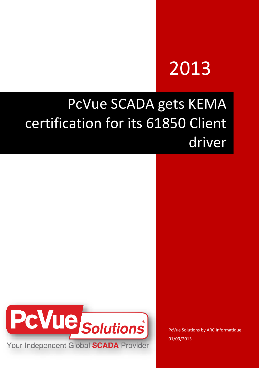# 2013

## PcVue SCADA gets KEMA certification for its 61850 Client driver



PcVue Solutions by ARC Informatique 01/09/2013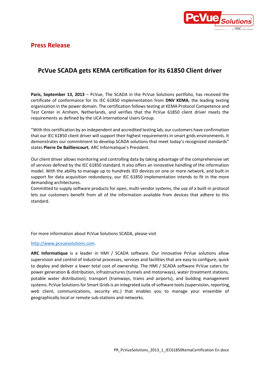

#### **Press Release**

### **PcVue SCADA gets KEMA certification for its 61850 Client driver**

**Paris, September 13, 2013** – PcVue, The SCADA in the PcVue Solutions portfolio, has received the certificate of conformance for its IEC 61850 implementation from **DNV KEMA**, the leading testing organization in the power domain. The certification follows testing at KEMA Protocol Competence and Test Center in Arnhem, Netherlands, and verifies that the PcVue 61850 client driver meets the requirements as defined by the UCA International Users Group.

"With this certification by an independent and accredited testing lab, our customers have confirmation that our IEC 61850 client driver will support their highest requirements in smart grids environments. It demonstrates our commitment to develop SCADA solutions that meet today's recognized standards" states **Pierre De Bailliencourt**, ARC Informatique's President.

Our client driver allows monitoring and controlling data by taking advantage of the comprehensive set of services defined by the IEC 61850 standard. It also offers an innovative handling of the information model. With the ability to manage up to hundreds IED devices on one or more network, and built-in support for data acquisition redundancy, our IEC 61850 implementation intends to fit in the more demanding architectures.

Committed to supply software products for open, multi-vendor systems, the use of a built-in protocol lets our customers benefit from all of the information available from devices that adhere to this standard.

For more information about PcVue Solutions SCADA, please visit

#### [http://www.pcvuesolutions.com.](http://www.pcvuesolutions.com/)

**ARC Informatique** is a leader in HMI / SCADA software. Our innovative PcVue solutions allow supervision and control of industrial processes, services and facilities that are easy to configure, quick to deploy and deliver a lower total cost of ownership. The HMI / SCADA software PcVue caters for power generation & distribution, infrastructures (tunnels and motorways), water (treatment stations, potable water distribution), transport (tramways, trains and airports), and building management systems. PcVue Solutions for Smart Grids is an integrated suite of software tools (supervision, reporting, web client, communications, security etc.) that enables you to manage your ensemble of geographically local or remote sub-stations and networks.